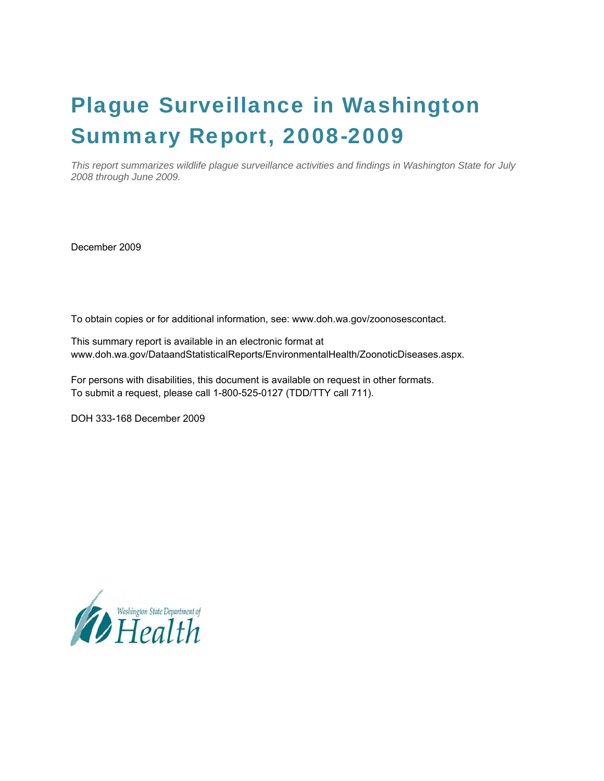## Plague Surveillance in Washington Summary Report, 2008-2009

*This report summarizes wildlife plague surveillance activities and findings in Washington State for July 2008 through June 2009.* 

December 2009

To obtain copies or for additional information, see: www.doh.wa.gov/zoonosescontact.

This summary report is available in an electronic format at www.doh.wa.gov/DataandStatisticalReports/EnvironmentalHealth/ZoonoticDiseases.aspx.

For persons with disabilities, this document is available on request in other formats. To submit a request, please call 1-800-525-0127 (TDD/TTY call 711).

DOH 333-168 December 2009

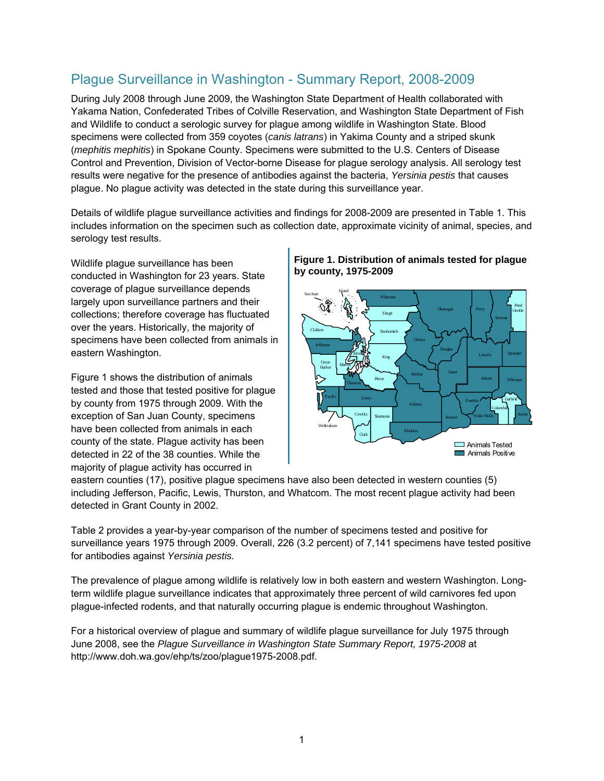## Plague Surveillance in Washington - Summary Report, 2008-2009

During July 2008 through June 2009, the Washington State Department of Health collaborated with Yakama Nation, Confederated Tribes of Colville Reservation, and Washington State Department of Fish and Wildlife to conduct a serologic survey for plague among wildlife in Washington State. Blood specimens were collected from 359 coyotes (*canis latrans*) in Yakima County and a striped skunk (*mephitis mephitis*) in Spokane County. Specimens were submitted to the U.S. Centers of Disease Control and Prevention, Division of Vector-borne Disease for plague serology analysis. All serology test results were negative for the presence of antibodies against the bacteria, *Yersinia pestis* that causes plague. No plague activity was detected in the state during this surveillance year.

Details of wildlife plague surveillance activities and findings for 2008-2009 are presented in Table 1. This includes information on the specimen such as collection date, approximate vicinity of animal, species, and serology test results.

Wildlife plague surveillance has been conducted in Washington for 23 years. State coverage of plague surveillance depends largely upon surveillance partners and their collections; therefore coverage has fluctuated over the years. Historically, the majority of specimens have been collected from animals in eastern Washington.

Figure 1 shows the distribution of animals tested and those that tested positive for plague by county from 1975 through 2009. With the exception of San Juan County, specimens have been collected from animals in each county of the state. Plague activity has been detected in 22 of the 38 counties. While the majority of plague activity has occurred in





eastern counties (17), positive plague specimens have also been detected in western counties (5) including Jefferson, Pacific, Lewis, Thurston, and Whatcom. The most recent plague activity had been detected in Grant County in 2002.

Table 2 provides a year-by-year comparison of the number of specimens tested and positive for surveillance years 1975 through 2009. Overall, 226 (3.2 percent) of 7,141 specimens have tested positive for antibodies against *Yersinia pestis.* 

The prevalence of plague among wildlife is relatively low in both eastern and western Washington. Longterm wildlife plague surveillance indicates that approximately three percent of wild carnivores fed upon plague-infected rodents, and that naturally occurring plague is endemic throughout Washington.

For a historical overview of plague and summary of wildlife plague surveillance for July 1975 through June 2008, see the *Plague Surveillance in Washington State Summary Report, 1975-2008* at http://www.doh.wa.gov/ehp/ts/zoo/plague1975-2008.pdf.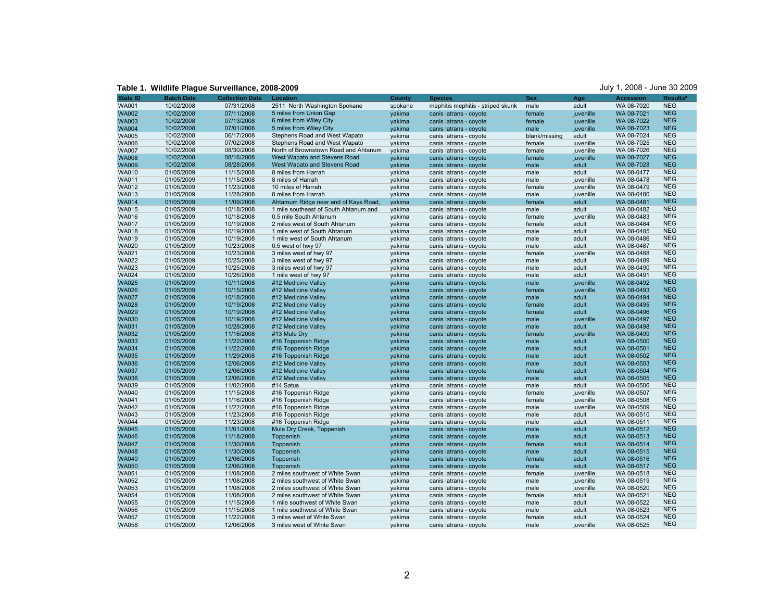| <b>State ID</b>              | <b>Batch Date</b>        | <b>Collection Date</b>   | Location                                                                     | <b>County</b> | <b>Species</b>                    | <b>Sex</b>    | Age       | <b>Accession</b>         | <b>Results</b> |
|------------------------------|--------------------------|--------------------------|------------------------------------------------------------------------------|---------------|-----------------------------------|---------------|-----------|--------------------------|----------------|
| <b>WA001</b>                 | 10/02/2008               | 07/31/2008               | 2511 North Washington Spokane                                                | spokane       | mephitis mephitis - striped skunk | male          | adult     | WA 08-7020               | <b>NEG</b>     |
| <b>WA002</b>                 | 10/02/2008               | 07/11/2008               | 5 miles from Union Gap                                                       | vakima        | canis latrans - coyote            | female        | juvenille | WA 08-7021               | <b>NEG</b>     |
| <b>WA003</b>                 | 10/02/2008               | 07/13/2008               | 6 miles from Wiley City                                                      | yakima        | canis latrans - coyote            | female        | juvenille | WA 08-7022               | <b>NEG</b>     |
| <b>WA004</b>                 | 10/02/2008               | 07/01/2008               | 5 miles from Wiley City                                                      | vakima        | canis latrans - covote            | male          | iuvenille | WA 08-7023               | <b>NEG</b>     |
| <b>WA005</b>                 | 10/02/2008               | 06/17/2008               | Stephens Road and West Wapato                                                | vakima        | canis latrans - coyote            | blank/missing | adult     | WA 08-7024               | <b>NEG</b>     |
| <b>WA006</b>                 | 10/02/2008               | 07/02/2008               | Stephens Road and West Wapato                                                | yakima        | canis latrans - coyote            | female        | juvenille | WA 08-7025               | <b>NEG</b>     |
| <b>WA007</b>                 | 10/02/2008               | 08/30/2008               | North of Brownstown Road and Ahtanum                                         | yakima        | canis latrans - coyote            | female        | juvenille | WA 08-7026               | <b>NEG</b>     |
| <b>WA008</b>                 | 10/02/2008               | 08/16/2008               | West Wapato and Stevens Road                                                 | yakima        | canis latrans - coyote            | female        | juvenille | WA 08-7027               | <b>NEG</b>     |
| <b>WA009</b>                 | 10/02/2008               | 08/28/2008               | West Wapato and Stevens Road                                                 | yakima        | canis latrans - coyote            | male          | adult     | WA 08-7028               | <b>NEG</b>     |
| <b>WA010</b>                 | 01/05/2009               | 11/15/2008               | 8 miles from Harrah                                                          | yakima        | canis latrans - coyote            | male          | adult     | WA 08-0477               | <b>NEG</b>     |
| <b>WA011</b>                 | 01/05/2009               | 11/15/2008               | 8 miles of Harrah                                                            | yakima        | canis latrans - coyote            | male          | juvenille | WA 08-0478               | <b>NEG</b>     |
| <b>WA012</b>                 | 01/05/2009               | 11/23/2008               | 10 miles of Harrah                                                           | yakima        | canis latrans - coyote            | female        | juvenille | WA 08-0479               | <b>NEG</b>     |
| <b>WA013</b>                 | 01/05/2009               | 11/28/2008               | 8 miles from Harrah                                                          | yakima        | canis latrans - coyote            | male          | juvenille | WA 08-0480               | <b>NEG</b>     |
|                              |                          |                          |                                                                              |               |                                   |               | adult     |                          | <b>NEG</b>     |
| <b>WA014</b><br><b>WA015</b> | 01/05/2009<br>01/05/2009 | 11/09/2008<br>10/18/2008 | Ahtamum Ridge near end of Kays Road<br>1 mile southeast of South Ahtanum and | yakima        | canis latrans - coyote            | female        |           | WA 08-0481<br>WA 08-0482 | <b>NEG</b>     |
|                              |                          |                          |                                                                              | yakima        | canis latrans - coyote            | male          | adult     |                          | <b>NEG</b>     |
| <b>WA016</b>                 | 01/05/2009               | 10/18/2008               | 0.5 mile South Ahtanum                                                       | yakima        | canis latrans - coyote            | female        | juvenille | WA 08-0483               | <b>NEG</b>     |
| <b>WA017</b>                 | 01/05/2009               | 10/19/2008               | 2 miles west of South Ahtanum                                                | yakima        | canis latrans - coyote            | female        | adult     | WA 08-0484               |                |
| <b>WA018</b>                 | 01/05/2009               | 10/19/2008               | 1 mile west of South Ahtanum                                                 | yakima        | canis latrans - coyote            | male          | adult     | WA 08-0485               | <b>NEG</b>     |
| <b>WA019</b>                 | 01/05/2009               | 10/19/2008               | 1 mile west of South Ahtanum                                                 | yakima        | canis latrans - coyote            | male          | adult     | WA 08-0486               | <b>NEG</b>     |
| <b>WA020</b>                 | 01/05/2009               | 10/23/2008               | 0.5 west of hwy 97                                                           | yakima        | canis latrans - coyote            | male          | adult     | WA 08-0487               | <b>NEG</b>     |
| <b>WA021</b>                 | 01/05/2009               | 10/23/2008               | 3 miles west of hwy 97                                                       | yakima        | canis latrans - coyote            | female        | juvenille | WA 08-0488               | <b>NEG</b>     |
| <b>WA022</b>                 | 01/05/2009               | 10/25/2008               | 3 miles west of hwy 97                                                       | yakima        | canis latrans - coyote            | male          | adult     | WA 08-0489               | <b>NEG</b>     |
| <b>WA023</b>                 | 01/05/2009               | 10/25/2008               | 3 miles west of hwy 97                                                       | yakima        | canis latrans - coyote            | male          | adult     | WA 08-0490               | <b>NEG</b>     |
| <b>WA024</b>                 | 01/05/2009               | 10/26/2008               | 1 mile west of hwy 97                                                        | yakima        | canis latrans - coyote            | male          | adult     | WA 08-0491               | <b>NEG</b>     |
| <b>WA025</b>                 | 01/05/2009               | 10/11/2008               | #12 Medicine Valley                                                          | yakima        | canis latrans - coyote            | male          | juvenille | WA 08-0492               | <b>NEG</b>     |
| <b>WA026</b>                 | 01/05/2009               | 10/15/2008               | #12 Medicine Valley                                                          | yakima        | canis latrans - coyote            | female        | juvenille | WA 08-0493               | <b>NEG</b>     |
| <b>WA027</b>                 | 01/05/2009               | 10/18/2008               | #12 Medicine Valley                                                          | yakima        | canis latrans - coyote            | male          | adult     | WA 08-0494               | <b>NEG</b>     |
| <b>WA028</b>                 | 01/05/2009               | 10/19/2008               | #12 Medicine Valley                                                          | yakima        | canis latrans - coyote            | female        | adult     | WA 08-0495               | <b>NEG</b>     |
| <b>WA029</b>                 | 01/05/2009               | 10/19/2008               | #12 Medicine Valley                                                          | yakima        | canis latrans - coyote            | female        | adult     | WA 08-0496               | <b>NEG</b>     |
| <b>WA030</b>                 | 01/05/2009               | 10/19/2008               | #12 Medicine Valley                                                          | yakima        | canis latrans - coyote            | male          | juvenille | WA 08-0497               | <b>NEG</b>     |
| <b>WA031</b>                 | 01/05/2009               | 10/28/2008               | #12 Medicine Valley                                                          | yakima        | canis latrans - coyote            | male          | adult     | WA 08-0498               | <b>NEG</b>     |
| <b>WA032</b>                 | 01/05/2009               | 11/16/2008               | #13 Mule Dry                                                                 | yakima        | canis latrans - coyote            | female        | juvenille | WA 08-0499               | <b>NEG</b>     |
| <b>WA033</b>                 | 01/05/2009               | 11/22/2008               | #16 Toppenish Ridge                                                          | vakima        | canis latrans - coyote            | male          | adult     | WA 08-0500               | <b>NEG</b>     |
| <b>WA034</b>                 | 01/05/2009               | 11/22/2008               | #16 Toppenish Ridge                                                          | yakima        | canis latrans - coyote            | male          | adult     | WA 08-0501               | <b>NEG</b>     |
| <b>WA035</b>                 | 01/05/2009               | 11/29/2008               | #16 Toppenish Ridge                                                          | yakima        | canis latrans - coyote            | male          | adult     | WA 08-0502               | <b>NEG</b>     |
| <b>WA036</b>                 | 01/05/2009               | 12/06/2008               | #12 Medicine Valley                                                          | yakima        | canis latrans - coyote            | male          | adult     | WA 08-0503               | <b>NEG</b>     |
| <b>WA037</b>                 | 01/05/2009               | 12/06/2008               | #12 Medicine Valley                                                          | yakima        | canis latrans - coyote            | female        | adult     | WA 08-0504               | <b>NEG</b>     |
| <b>WA038</b>                 | 01/05/2009               | 12/06/2008               | #12 Medicine Valley                                                          | yakima        | canis latrans - coyote            | male          | adult     | WA 08-0505               | <b>NEG</b>     |
| <b>WA039</b>                 | 01/05/2009               | 11/02/2008               | #14 Satus                                                                    | yakima        | canis latrans - coyote            | male          | adult     | WA 08-0506               | <b>NEG</b>     |
| <b>WA040</b>                 | 01/05/2009               | 11/15/2008               | #16 Toppenish Ridge                                                          | yakima        | canis latrans - coyote            | female        | juvenille | WA 08-0507               | <b>NEG</b>     |
| <b>WA041</b>                 | 01/05/2009               | 11/16/2008               | #16 Toppenish Ridge                                                          | yakima        | canis latrans - coyote            | female        | juvenille | WA 08-0508               | <b>NEG</b>     |
| <b>WA042</b>                 | 01/05/2009               | 11/22/2008               | #16 Toppenish Ridge                                                          | yakima        | canis latrans - coyote            | male          | juvenille | WA 08-0509               | <b>NEG</b>     |
| <b>WA043</b>                 | 01/05/2009               | 11/23/2008               | #16 Toppenish Ridge                                                          | yakima        | canis latrans - coyote            | male          | adult     | WA 08-0510               | <b>NEG</b>     |
| <b>WA044</b>                 | 01/05/2009               | 11/23/2008               | #16 Toppenish Ridge                                                          | yakima        | canis latrans - coyote            | male          | adult     | WA 08-0511               | <b>NEG</b>     |
| <b>WA045</b>                 | 01/05/2009               | 11/01/2008               | Mule Dry Creek, Toppenish                                                    | yakima        | canis latrans - coyote            | male          | adult     | WA 08-0512               | <b>NEG</b>     |
| <b>WA046</b>                 | 01/05/2009               | 11/18/2008               | Toppenish                                                                    | yakima        | canis latrans - coyote            | male          | adult     | WA 08-0513               | <b>NEG</b>     |
| <b>WA047</b>                 | 01/05/2009               | 11/30/2008               | Toppenish                                                                    | yakima        | canis latrans - coyote            | female        | adult     | WA 08-0514               | <b>NEG</b>     |
| <b>WA048</b>                 | 01/05/2009               | 11/30/2008               | Toppenish                                                                    | yakima        | canis latrans - coyote            | male          | adult     | WA 08-0515               | <b>NEG</b>     |
| <b>WA049</b>                 | 01/05/2009               | 12/06/2008               | Toppenish                                                                    | yakima        | canis latrans - coyote            | female        | adult     | WA 08-0516               | <b>NEG</b>     |
| <b>WA050</b>                 | 01/05/2009               | 12/06/2008               | Toppenish                                                                    | yakima        | canis latrans - coyote            | male          | adult     | WA 08-0517               | <b>NEG</b>     |
| <b>WA051</b>                 | 01/05/2009               | 11/08/2008               | 2 miles southwest of White Swan                                              | yakima        | canis latrans - coyote            | female        | juvenille | WA 08-0518               | <b>NEG</b>     |
| <b>WA052</b>                 | 01/05/2009               | 11/08/2008               | 2 miles southwest of White Swan                                              | vakima        | canis latrans - coyote            | male          | juvenille | WA 08-0519               | <b>NEG</b>     |
| <b>WA053</b>                 | 01/05/2009               | 11/08/2008               | 2 miles southwest of White Swan                                              | yakima        | canis latrans - coyote            | male          | juvenille | WA 08-0520               | <b>NEG</b>     |
| <b>WA054</b>                 | 01/05/2009               | 11/08/2008               | 2 miles southwest of White Swan                                              | vakima        | canis latrans - coyote            | female        | adult     | WA 08-0521               | <b>NEG</b>     |
| <b>WA055</b>                 | 01/05/2009               | 11/15/2008               | 1 mile southwest of White Swan                                               | yakima        | canis latrans - coyote            | male          | adult     | WA 08-0522               | <b>NEG</b>     |
| <b>WA056</b>                 | 01/05/2009               | 11/15/2008               | 1 mile southwest of White Swan                                               | yakima        | canis latrans - coyote            | male          | adult     | WA 08-0523               | <b>NEG</b>     |
| <b>WA057</b>                 | 01/05/2009               | 11/22/2008               | 3 miles west of White Swan                                                   | yakima        | canis latrans - coyote            | female        | adult     | WA 08-0524               | <b>NEG</b>     |
| <b>WA058</b>                 | 01/05/2009               | 12/06/2008               | 3 miles west of White Swan                                                   | yakima        | canis latrans - coyote            | male          | juvenille | WA 08-0525               | <b>NEG</b>     |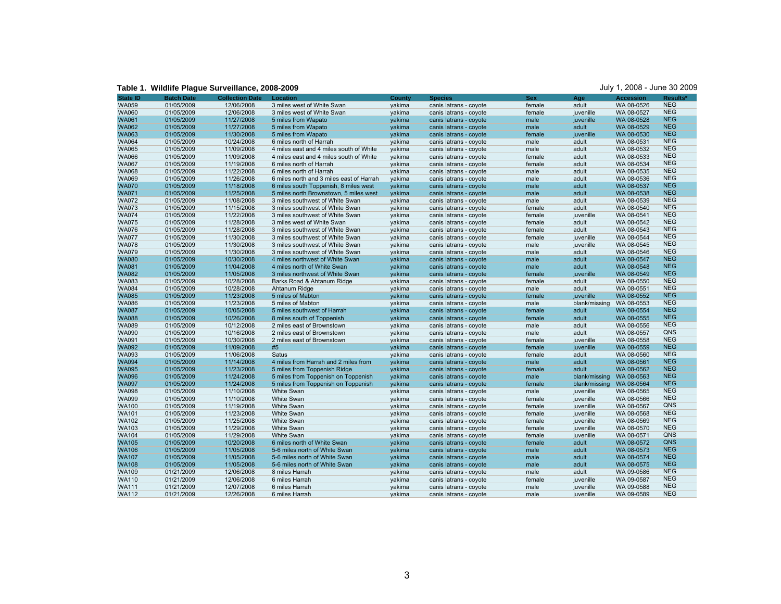| <b>State ID</b> | <b>Batch Date</b> | <b>Collection Date</b> | Location                                 | <b>County</b> | <b>Species</b>         | <b>Sex</b> | Age           | <b>Accession</b> | Results*   |
|-----------------|-------------------|------------------------|------------------------------------------|---------------|------------------------|------------|---------------|------------------|------------|
| <b>WA059</b>    | 01/05/2009        | 12/06/2008             | 3 miles west of White Swan               | yakima        | canis latrans - coyote | female     | adult         | WA 08-0526       | <b>NEG</b> |
| <b>WA060</b>    | 01/05/2009        | 12/06/2008             | 3 miles west of White Swan               | yakima        | canis latrans - coyote | female     | juvenille     | WA 08-0527       | <b>NEG</b> |
| <b>WA061</b>    | 01/05/2009        | 11/27/2008             | 5 miles from Wapato                      | yakima        | canis latrans - coyote | male       | juvenille     | WA 08-0528       | <b>NEG</b> |
| <b>WA062</b>    | 01/05/2009        | 11/27/2008             | 5 miles from Wapato                      | yakima        | canis latrans - coyote | male       | adult         | WA 08-0529       | <b>NEG</b> |
| <b>WA063</b>    | 01/05/2009        | 11/30/2008             | 5 miles from Wapato                      | yakima        | canis latrans - coyote | female     | juvenille     | WA 08-0530       | <b>NEG</b> |
| <b>WA064</b>    | 01/05/2009        | 10/24/2008             | 6 miles north of Harrah                  | vakima        | canis latrans - coyote | male       | adult         | WA 08-0531       | <b>NEG</b> |
| <b>WA065</b>    | 01/05/2009        | 11/09/2008             | 4 miles east and 4 miles south of White  | vakima        | canis latrans - coyote | male       | adult         | WA 08-0532       | <b>NEG</b> |
| <b>WA066</b>    | 01/05/2009        | 11/09/2008             | 4 miles east and 4 miles south of White  | vakima        | canis latrans - coyote | female     | adult         | WA 08-0533       | <b>NEG</b> |
| <b>WA067</b>    | 01/05/2009        | 11/19/2008             | 6 miles north of Harrah                  | yakima        | canis latrans - coyote | female     | adult         | WA 08-0534       | <b>NEG</b> |
| <b>WA068</b>    | 01/05/2009        | 11/22/2008             | 6 miles north of Harrah                  | yakima        | canis latrans - coyote | male       | adult         | WA 08-0535       | <b>NEG</b> |
| <b>WA069</b>    | 01/05/2009        | 11/26/2008             | 6 miles north and 3 miles east of Harrah | yakima        | canis latrans - coyote | male       | adult         | WA 08-0536       | <b>NEG</b> |
| <b>WA070</b>    | 01/05/2009        | 11/18/2008             | 6 miles south Toppenish, 8 miles west    | yakima        | canis latrans - coyote | male       | adult         | WA 08-0537       | <b>NEG</b> |
| <b>WA071</b>    | 01/05/2009        | 11/25/2008             | 5 miles north Brownstown, 5 miles west   | vakima        | canis latrans - coyote | male       | adult         | WA 08-0538       | <b>NEG</b> |
| <b>WA072</b>    | 01/05/2009        | 11/08/2008             | 3 miles southwest of White Swan          | yakima        | canis latrans - coyote | male       | adult         | WA 08-0539       | <b>NEG</b> |
| <b>WA073</b>    | 01/05/2009        | 11/15/2008             | 3 miles southwest of White Swan          | yakima        | canis latrans - coyote | female     | adult         | WA 08-0540       | <b>NEG</b> |
| <b>WA074</b>    | 01/05/2009        | 11/22/2008             | 3 miles southwest of White Swan          | yakima        | canis latrans - coyote | female     | juvenille     | WA 08-0541       | <b>NEG</b> |
| <b>WA075</b>    | 01/05/2009        | 11/28/2008             | 3 miles west of White Swan               | yakima        | canis latrans - coyote | female     | adult         | WA 08-0542       | <b>NEG</b> |
| <b>WA076</b>    | 01/05/2009        | 11/28/2008             | 3 miles southwest of White Swan          | yakima        | canis latrans - coyote | female     | adult         | WA 08-0543       | <b>NEG</b> |
| <b>WA077</b>    | 01/05/2009        | 11/30/2008             | 3 miles southwest of White Swan          | yakima        | canis latrans - coyote | female     | juvenille     | WA 08-0544       | <b>NEG</b> |
| <b>WA078</b>    | 01/05/2009        | 11/30/2008             | 3 miles southwest of White Swan          | yakima        | canis latrans - coyote | male       | juvenille     | WA 08-0545       | <b>NEG</b> |
| <b>WA079</b>    | 01/05/2009        | 11/30/2008             | 3 miles southwest of White Swan          | yakima        | canis latrans - coyote | male       | adult         | WA 08-0546       | <b>NEG</b> |
| <b>WA080</b>    | 01/05/2009        | 10/30/2008             | 4 miles northwest of White Swan          | vakima        | canis latrans - coyote | male       | adult         | WA 08-0547       | <b>NEG</b> |
| <b>WA081</b>    | 01/05/2009        | 11/04/2008             | 4 miles north of White Swan              | yakima        | canis latrans - coyote | male       | adult         | WA 08-0548       | <b>NEG</b> |
| <b>WA082</b>    | 01/05/2009        | 11/05/2008             | 3 miles northwest of White Swan          | yakima        | canis latrans - coyote | female     | juvenille     | WA 08-0549       | <b>NEG</b> |
| <b>WA083</b>    | 01/05/2009        | 10/28/2008             | Barks Road & Ahtanum Ridge               | yakima        | canis latrans - coyote | female     | adult         | WA 08-0550       | <b>NEG</b> |
| <b>WA084</b>    | 01/05/2009        | 10/28/2008             | Ahtanum Ridge                            | yakima        | canis latrans - coyote | male       | adult         | WA 08-0551       | <b>NEG</b> |
| <b>WA085</b>    | 01/05/2009        | 11/23/2008             | 5 miles of Mabton                        | yakima        | canis latrans - coyote | female     | juvenille     | WA 08-0552       | <b>NEG</b> |
| <b>WA086</b>    | 01/05/2009        | 11/23/2008             | 5 miles of Mabton                        | yakima        | canis latrans - coyote | male       | blank/missing | WA 08-0553       | <b>NEG</b> |
| <b>WA087</b>    | 01/05/2009        | 10/05/2008             | 5 miles southwest of Harrah              | yakima        | canis latrans - coyote | female     | adult         | WA 08-0554       | <b>NEG</b> |
| <b>WA088</b>    | 01/05/2009        | 10/26/2008             | 8 miles south of Toppenish               | yakima        | canis latrans - coyote | female     | adult         | WA 08-0555       | <b>NEG</b> |
| <b>WA089</b>    | 01/05/2009        | 10/12/2008             | 2 miles east of Brownstown               | yakima        | canis latrans - coyote | male       | adult         | WA 08-0556       | <b>NEG</b> |
| <b>WA090</b>    | 01/05/2009        | 10/16/2008             | 2 miles east of Brownstown               | yakima        | canis latrans - coyote | male       | adult         | WA 08-0557       | QNS        |
| <b>WA091</b>    | 01/05/2009        | 10/30/2008             | 2 miles east of Brownstown               | yakima        | canis latrans - coyote | female     | juvenille     | WA 08-0558       | <b>NEG</b> |
| <b>WA092</b>    | 01/05/2009        | 11/09/2008             | #5                                       | yakima        | canis latrans - coyote | female     | juvenille     | WA 08-0559       | <b>NEG</b> |
| <b>WA093</b>    | 01/05/2009        | 11/06/2008             | Satus                                    | vakima        | canis latrans - coyote | female     | adult         | WA 08-0560       | <b>NEG</b> |
| <b>WA094</b>    | 01/05/2009        | 11/14/2008             | 4 miles from Harrah and 2 miles from     | yakima        | canis latrans - coyote | male       | adult         | WA 08-0561       | <b>NEG</b> |
| <b>WA095</b>    | 01/05/2009        | 11/23/2008             | 5 miles from Toppenish Ridge             | yakima        | canis latrans - coyote | female     | adult         | WA 08-0562       | <b>NEG</b> |
| <b>WA096</b>    | 01/05/2009        | 11/24/2008             | 5 miles from Toppenish on Toppenish      | yakima        | canis latrans - coyote | male       | blank/missing | WA 08-0563       | <b>NEG</b> |
| <b>WA097</b>    | 01/05/2009        | 11/24/2008             | 5 miles from Toppenish on Toppenish      | yakima        | canis latrans - coyote | female     | blank/missing | WA 08-0564       | <b>NEG</b> |
| <b>WA098</b>    | 01/05/2009        | 11/10/2008             | <b>White Swan</b>                        | yakima        | canis latrans - coyote | male       | juvenille     | WA 08-0565       | <b>NEG</b> |
| <b>WA099</b>    | 01/05/2009        | 11/10/2008             | <b>White Swan</b>                        | yakima        | canis latrans - coyote | female     | juvenille     | WA 08-0566       | <b>NEG</b> |
| <b>WA100</b>    | 01/05/2009        | 11/19/2008             | White Swan                               | yakima        | canis latrans - coyote | female     | juvenille     | WA 08-0567       | QNS        |
| <b>WA101</b>    | 01/05/2009        | 11/23/2008             | <b>White Swan</b>                        | yakima        | canis latrans - coyote | female     | juvenille     | WA 08-0568       | <b>NEG</b> |
| <b>WA102</b>    | 01/05/2009        | 11/25/2008             | <b>White Swan</b>                        | vakima        | canis latrans - coyote | female     | juvenille     | WA 08-0569       | <b>NEG</b> |
| <b>WA103</b>    | 01/05/2009        | 11/29/2008             | <b>White Swan</b>                        | yakima        | canis latrans - coyote | female     | juvenille     | WA 08-0570       | <b>NEG</b> |
| <b>WA104</b>    | 01/05/2009        | 11/29/2008             | <b>White Swan</b>                        | yakima        | canis latrans - coyote | female     | juvenille     | WA 08-0571       | QNS        |
| <b>WA105</b>    | 01/05/2009        | 10/20/2008             | 6 miles north of White Swan              | vakima        | canis latrans - coyote | female     | adult         | WA 08-0572       | <b>QNS</b> |
| <b>WA106</b>    | 01/05/2009        | 11/05/2008             | 5-6 miles north of White Swan            | yakima        | canis latrans - coyote | male       | adult         | WA 08-0573       | <b>NEG</b> |
| <b>WA107</b>    | 01/05/2009        | 11/05/2008             | 5-6 miles north of White Swan            | yakima        | canis latrans - coyote | male       | adult         | WA 08-0574       | <b>NEG</b> |
| <b>WA108</b>    | 01/05/2009        | 11/05/2008             | 5-6 miles north of White Swan            | yakima        | canis latrans - coyote | male       | adult         | WA 08-0575       | <b>NEG</b> |
| <b>WA109</b>    | 01/21/2009        | 12/06/2008             | 8 miles Harrah                           | yakima        | canis latrans - coyote | male       | adult         | WA 09-0586       | <b>NEG</b> |
| <b>WA110</b>    | 01/21/2009        | 12/06/2008             | 6 miles Harrah                           | yakima        | canis latrans - coyote | female     | juvenille     | WA 09-0587       | <b>NEG</b> |
| <b>WA111</b>    | 01/21/2009        | 12/07/2008             | 6 miles Harrah                           | yakima        | canis latrans - coyote | male       | juvenille     | WA 09-0588       | <b>NEG</b> |
| <b>WA112</b>    | 01/21/2009        | 12/26/2008             | 6 miles Harrah                           | yakima        | canis latrans - coyote | male       | juvenille     | WA 09-0589       | <b>NEG</b> |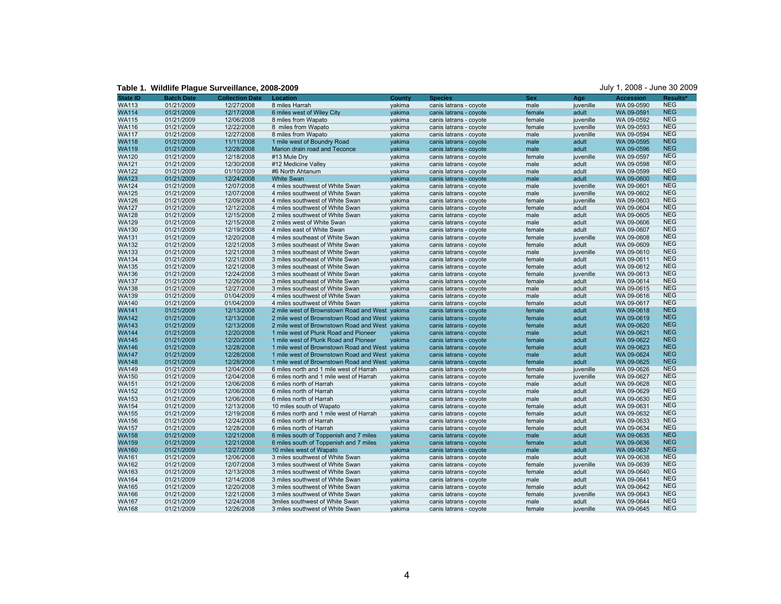**Table 1. Wildlife Plague Surveillance, 2008-2009** July 1, 2008 - June 30 2009

| <b>State ID</b> | <b>Batch Date</b> | <b>Collection Date</b> | Location                                       | <b>County</b> | <b>Species</b>         | <b>Sex</b> | Age       | <b>Accession</b> | Results*                 |
|-----------------|-------------------|------------------------|------------------------------------------------|---------------|------------------------|------------|-----------|------------------|--------------------------|
| <b>WA113</b>    | 01/21/2009        | 12/27/2008             | 8 miles Harrah                                 | yakima        | canis latrans - coyote | male       | juvenille | WA 09-0590       | <b>NEG</b>               |
| <b>WA114</b>    | 01/21/2009        | 12/17/2008             | 6 miles west of Wiley City                     | yakima        | canis latrans - coyote | female     | adult     | WA 09-0591       | <b>NEG</b>               |
| <b>WA115</b>    | 01/21/2009        | 12/06/2008             | 8 miles from Wapato                            | yakima        | canis latrans - coyote | female     | juvenille | WA 09-0592       | <b>NEG</b>               |
| <b>WA116</b>    | 01/21/2009        | 12/22/2008             | 8 miles from Wapato                            | yakima        | canis latrans - coyote | female     | juvenille | WA 09-0593       | <b>NEG</b>               |
| <b>WA117</b>    | 01/21/2009        | 12/27/2008             | 8 miles from Wapato                            | yakima        | canis latrans - coyote | male       | juvenille | WA 09-0594       | <b>NEG</b>               |
| <b>WA118</b>    | 01/21/2009        | 11/11/2008             | 1 mile west of Boundry Road                    | vakima        | canis latrans - coyote | male       | adult     | WA 09-0595       | <b>NEG</b>               |
| <b>WA119</b>    | 01/21/2009        | 12/28/2008             | Marion drain road and Teconce                  | yakima        | canis latrans - coyote | male       | adult     | WA 09-0596       | <b>NEG</b>               |
| <b>WA120</b>    | 01/21/2009        | 12/18/2008             | #13 Mule Dry                                   | yakima        | canis latrans - coyote | female     | juvenille | WA 09-0597       | <b>NEG</b>               |
| <b>WA121</b>    | 01/21/2009        | 12/30/2008             | #12 Medicine Valley                            | yakima        | canis latrans - coyote | male       | adult     | WA 09-0598       | <b>NEG</b>               |
| <b>WA122</b>    | 01/21/2009        | 01/10/2009             | #6 North Ahtanum                               | yakima        | canis latrans - coyote | male       | adult     | WA 09-0599       | <b>NEG</b>               |
| <b>WA123</b>    | 01/21/2009        | 12/24/2008             | <b>White Swan</b>                              | yakima        | canis latrans - coyote | male       | adult     | WA 09-0600       | <b>NEG</b>               |
| <b>WA124</b>    | 01/21/2009        | 12/07/2008             | 4 miles southwest of White Swan                | yakima        | canis latrans - coyote | male       | juvenille | WA 09-0601       | <b>NEG</b>               |
| <b>WA125</b>    | 01/21/2009        | 12/07/2008             | 4 miles southwest of White Swan                | yakima        | canis latrans - coyote | male       | juvenille | WA 09-0602       | <b>NEG</b>               |
| <b>WA126</b>    | 01/21/2009        | 12/09/2008             | 4 miles southwest of White Swan                | yakima        | canis latrans - coyote | female     | juvenille | WA 09-0603       | <b>NEG</b>               |
| <b>WA127</b>    | 01/21/2009        | 12/12/2008             | 4 miles southwest of White Swan                | yakima        | canis latrans - coyote | female     | adult     | WA 09-0604       | <b>NEG</b>               |
| <b>WA128</b>    | 01/21/2009        | 12/15/2008             | 2 miles southwest of White Swan                | yakima        | canis latrans - coyote | male       | adult     | WA 09-0605       | <b>NEG</b>               |
| <b>WA129</b>    | 01/21/2009        | 12/15/2008             | 2 miles west of White Swan                     | yakima        | canis latrans - coyote | male       | adult     | WA 09-0606       | <b>NEG</b>               |
| <b>WA130</b>    | 01/21/2009        | 12/19/2008             | 4 miles east of White Swan                     | yakima        | canis latrans - coyote | female     | adult     | WA 09-0607       | <b>NEG</b>               |
| <b>WA131</b>    | 01/21/2009        | 12/20/2008             | 4 miles southeast of White Swan                | yakima        | canis latrans - coyote | female     | juvenille | WA 09-0608       | <b>NEG</b>               |
| <b>WA132</b>    | 01/21/2009        | 12/21/2008             | 3 miles southeast of White Swan                | yakima        | canis latrans - coyote | female     | adult     | WA 09-0609       | <b>NEG</b>               |
| <b>WA133</b>    | 01/21/2009        | 12/21/2008             | 3 miles southeast of White Swan                | yakima        | canis latrans - coyote | male       | juvenille | WA 09-0610       | <b>NEG</b>               |
| <b>WA134</b>    | 01/21/2009        | 12/21/2008             | 3 miles southeast of White Swan                | yakima        | canis latrans - coyote | female     | adult     | WA 09-0611       | <b>NEG</b>               |
| <b>WA135</b>    | 01/21/2009        | 12/21/2008             | 3 miles southeast of White Swan                | yakima        | canis latrans - coyote | female     | adult     | WA 09-0612       | <b>NEG</b>               |
| <b>WA136</b>    | 01/21/2009        | 12/24/2008             | 3 miles southeast of White Swan                | yakima        | canis latrans - coyote | female     | juvenille | WA 09-0613       | <b>NEG</b>               |
| <b>WA137</b>    | 01/21/2009        | 12/26/2008             | 3 miles southeast of White Swan                | yakima        | canis latrans - coyote | female     | adult     | WA 09-0614       | <b>NEG</b>               |
| <b>WA138</b>    | 01/21/2009        | 12/27/2008             | 3 miles southeast of White Swan                | yakima        | canis latrans - coyote | male       | adult     | WA 09-0615       | <b>NEG</b>               |
| <b>WA139</b>    | 01/21/2009        | 01/04/2009             | 4 miles southwest of White Swan                | yakima        | canis latrans - coyote | male       | adult     | WA 09-0616       | <b>NEG</b>               |
| <b>WA140</b>    | 01/21/2009        | 01/04/2009             | 4 miles southwest of White Swan                | yakima        | canis latrans - coyote | female     | adult     | WA 09-0617       | <b>NEG</b>               |
| <b>WA141</b>    | 01/21/2009        | 12/13/2008             | 2 mile west of Brownstown Road and West yakima |               | canis latrans - coyote | female     | adult     | WA 09-0618       | <b>NEG</b>               |
| <b>WA142</b>    | 01/21/2009        | 12/13/2008             | 2 mile west of Brownstown Road and West yakima |               | canis latrans - coyote | female     | adult     | WA 09-0619       | <b>NEG</b>               |
| <b>WA143</b>    | 01/21/2009        | 12/13/2008             | 2 mile west of Brownstown Road and West yakima |               | canis latrans - coyote | female     | adult     | WA 09-0620       | <b>NEG</b>               |
| <b>WA144</b>    | 01/21/2009        | 12/20/2008             | 1 mile west of Plunk Road and Pioneer          | yakima        | canis latrans - coyote | male       | adult     | WA 09-0621       | <b>NEG</b>               |
| <b>WA145</b>    | 01/21/2009        | 12/20/2008             | 1 mile west of Plunk Road and Pioneer          | yakima        | canis latrans - coyote | female     | adult     | WA 09-0622       | <b>NEG</b>               |
| <b>WA146</b>    | 01/21/2009        | 12/28/2008             | 1 mile west of Brownstown Road and West yakima |               | canis latrans - coyote | female     | adult     | WA 09-0623       | <b>NEG</b>               |
| <b>WA147</b>    | 01/21/2009        | 12/28/2008             | 1 mile west of Brownstown Road and West yakima |               | canis latrans - coyote | male       | adult     | WA 09-0624       | <b>NEG</b>               |
| <b>WA148</b>    | 01/21/2009        | 12/28/2008             | 1 mile west of Brownstown Road and West yakima |               | canis latrans - coyote | female     | adult     | WA 09-0625       | <b>NEG</b>               |
| <b>WA149</b>    | 01/21/2009        | 12/04/2008             | 6 miles north and 1 mile west of Harrah        | yakima        | canis latrans - coyote | female     | juvenille | WA 09-0626       | <b>NEG</b>               |
| <b>WA150</b>    | 01/21/2009        | 12/04/2008             | 6 miles north and 1 mile west of Harrah        | yakima        | canis latrans - coyote | female     | juvenille | WA 09-0627       | <b>NEG</b>               |
| <b>WA151</b>    | 01/21/2009        | 12/06/2008             | 6 miles north of Harrah                        | yakima        | canis latrans - coyote | male       | adult     | WA 09-0628       | <b>NEG</b>               |
| <b>WA152</b>    | 01/21/2009        | 12/06/2008             | 6 miles north of Harrah                        | yakima        | canis latrans - coyote | male       | adult     | WA 09-0629       | <b>NEG</b>               |
| <b>WA153</b>    | 01/21/2009        | 12/06/2008             | 6 miles north of Harrah                        | yakima        | canis latrans - coyote | male       | adult     | WA 09-0630       | <b>NEG</b>               |
| <b>WA154</b>    | 01/21/2009        | 12/13/2008             | 10 miles south of Wapato                       | yakima        | canis latrans - coyote | female     | adult     | WA 09-0631       | <b>NEG</b>               |
| <b>WA155</b>    | 01/21/2009        | 12/19/2008             | 6 miles north and 1 mile west of Harrah        | vakima        | canis latrans - coyote | female     | adult     | WA 09-0632       | <b>NEG</b>               |
| <b>WA156</b>    | 01/21/2009        | 12/24/2008             | 6 miles north of Harrah                        | yakima        | canis latrans - coyote | female     | adult     | WA 09-0633       | <b>NEG</b>               |
| <b>WA157</b>    | 01/21/2009        | 12/28/2008             | 6 miles north of Harrah                        | yakima        | canis latrans - coyote | female     | adult     | WA 09-0634       | <b>NEG</b>               |
| <b>WA158</b>    | 01/21/2009        | 12/21/2008             | 6 miles south of Toppenish and 7 miles         | yakima        | canis latrans - coyote | male       | adult     | WA 09-0635       | <b>NEG</b>               |
| <b>WA159</b>    | 01/21/2009        | 12/21/2008             | 6 miles south of Toppenish and 7 miles         | yakima        | canis latrans - coyote | female     | adult     | WA 09-0636       | <b>NEG</b>               |
| <b>WA160</b>    | 01/21/2009        | 12/27/2008             | 10 miles west of Wapato                        | vakima        | canis latrans - coyote | male       | adult     | WA 09-0637       | <b>NEG</b>               |
| <b>WA161</b>    | 01/21/2009        | 12/06/2008             | 3 miles southwest of White Swan                | yakima        | canis latrans - coyote | male       | adult     | WA 09-0638       | <b>NEG</b>               |
| <b>WA162</b>    | 01/21/2009        | 12/07/2008             | 3 miles southwest of White Swan                | yakima        | canis latrans - coyote | female     | juvenille | WA 09-0639       | <b>NEG</b>               |
| <b>WA163</b>    | 01/21/2009        | 12/13/2008             | 3 miles southwest of White Swan                | yakima        | canis latrans - coyote | female     | adult     | WA 09-0640       | <b>NEG</b>               |
| <b>WA164</b>    | 01/21/2009        | 12/14/2008             | 3 miles southwest of White Swan                | yakima        | canis latrans - coyote | male       | adult     | WA 09-0641       | <b>NEG</b>               |
| <b>WA165</b>    | 01/21/2009        | 12/20/2008             | 3 miles southwest of White Swan                | yakima        | canis latrans - coyote | female     | adult     | WA 09-0642       | <b>NEG</b>               |
| <b>WA166</b>    | 01/21/2009        | 12/21/2008             | 3 miles southwest of White Swan                | yakima        | canis latrans - coyote | female     | juvenille | WA 09-0643       | <b>NEG</b>               |
| <b>WA167</b>    | 01/21/2009        | 12/24/2008             | 3miles southwest of White Swan                 | yakima        | canis latrans - coyote | male       | adult     | WA 09-0644       | <b>NEG</b><br><b>NEG</b> |
| <b>WA168</b>    | 01/21/2009        | 12/26/2008             | 3 miles southwest of White Swan                | yakima        | canis latrans - coyote | female     | juvenille | WA 09-0645       |                          |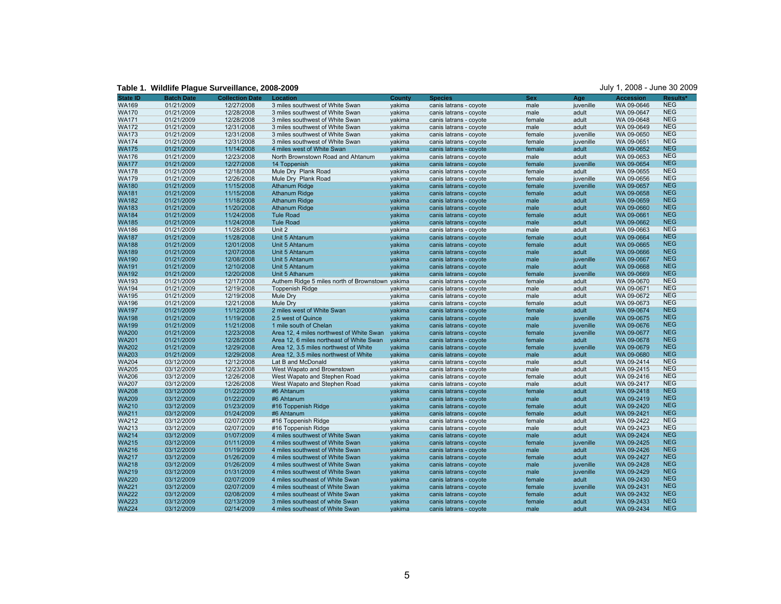**Table 1. Wildlife Plague Surveillance, 2008-2009** July 1, 2008 - June 30 2009

| <b>State ID</b> | <b>Batch Date</b> | <b>Collection Date</b>   | Location                                                     | <b>County</b>    | <b>Species</b>                                   | <b>Sex</b>       | Age                    | <b>Accession</b> | Results*   |
|-----------------|-------------------|--------------------------|--------------------------------------------------------------|------------------|--------------------------------------------------|------------------|------------------------|------------------|------------|
| <b>WA169</b>    | 01/21/2009        | 12/27/2008               | 3 miles southwest of White Swan                              | yakima           | canis latrans - coyote                           | male             | juvenille              | WA 09-0646       | <b>NEG</b> |
| <b>WA170</b>    | 01/21/2009        | 12/28/2008               | 3 miles southwest of White Swan                              | yakima           | canis latrans - coyote                           | male             | adult                  | WA 09-0647       | <b>NEG</b> |
| <b>WA171</b>    | 01/21/2009        | 12/28/2008               | 3 miles southwest of White Swan                              | yakima           | canis latrans - coyote                           | female           | adult                  | WA 09-0648       | <b>NEG</b> |
| <b>WA172</b>    | 01/21/2009        | 12/31/2008               | 3 miles southwest of White Swan                              | yakima           | canis latrans - coyote                           | male             | adult                  | WA 09-0649       | <b>NEG</b> |
| <b>WA173</b>    | 01/21/2009        | 12/31/2008               | 3 miles southwest of White Swan                              | yakima           | canis latrans - coyote                           | female           | juvenille              | WA 09-0650       | <b>NEG</b> |
| <b>WA174</b>    | 01/21/2009        | 12/31/2008               | 3 miles southwest of White Swan                              | vakima           | canis latrans - coyote                           | female           | juvenille              | WA 09-0651       | <b>NEG</b> |
| <b>WA175</b>    | 01/21/2009        | 11/14/2008               | 4 miles west of White Swan                                   | vakima           | canis latrans - coyote                           | female           | adult                  | WA 09-0652       | <b>NEG</b> |
| <b>WA176</b>    | 01/21/2009        | 12/23/2008               | North Brownstown Road and Ahtanum                            | yakima           | canis latrans - coyote                           | male             | adult                  | WA 09-0653       | <b>NEG</b> |
| <b>WA177</b>    | 01/21/2009        | 12/27/2008               | 14 Toppenish                                                 | yakima           | canis latrans - coyote                           | female           | juvenille              | WA 09-0654       | <b>NEG</b> |
| <b>WA178</b>    | 01/21/2009        | 12/18/2008               | Mule Dry Plank Road                                          | yakima           | canis latrans - coyote                           | female           | adult                  | WA 09-0655       | <b>NEG</b> |
| <b>WA179</b>    | 01/21/2009        | 12/26/2008               | Mule Dry Plank Road                                          | yakima           | canis latrans - coyote                           | female           | juvenille              | WA 09-0656       | <b>NEG</b> |
| <b>WA180</b>    | 01/21/2009        | 11/15/2008               | <b>Athanum Ridge</b>                                         | yakima           | canis latrans - coyote                           | female           | juvenille              | WA 09-0657       | <b>NEG</b> |
| <b>WA181</b>    | 01/21/2009        | 11/15/2008               | <b>Athanum Ridge</b>                                         | yakima           | canis latrans - coyote                           | female           | adult                  | WA 09-0658       | <b>NEG</b> |
| <b>WA182</b>    | 01/21/2009        | 11/18/2008               | <b>Athanum Ridge</b>                                         | yakima           | canis latrans - coyote                           | male             | adult                  | WA 09-0659       | <b>NEG</b> |
| <b>WA183</b>    | 01/21/2009        | 11/20/2008               | <b>Athanum Ridge</b>                                         | yakima           | canis latrans - coyote                           | male             | adult                  | WA 09-0660       | <b>NEG</b> |
| <b>WA184</b>    | 01/21/2009        | 11/24/2008               | <b>Tule Road</b>                                             | yakima           | canis latrans - coyote                           | female           | adult                  | WA 09-0661       | <b>NEG</b> |
| <b>WA185</b>    | 01/21/2009        | 11/24/2008               | <b>Tule Road</b>                                             | yakima           | canis latrans - coyote                           | male             | adult                  | WA 09-0662       | <b>NEG</b> |
| <b>WA186</b>    | 01/21/2009        | 11/28/2008               | Unit 2                                                       | yakima           | canis latrans - coyote                           | male             | adult                  | WA 09-0663       | <b>NEG</b> |
| <b>WA187</b>    | 01/21/2009        | 11/28/2008               | Unit 5 Ahtanum                                               | yakima           | canis latrans - coyote                           | female           | adult                  | WA 09-0664       | <b>NEG</b> |
| <b>WA188</b>    | 01/21/2009        | 12/01/2008               | Unit 5 Ahtanum                                               | yakima           | canis latrans - coyote                           | female           | adult                  | WA 09-0665       | <b>NEG</b> |
| <b>WA189</b>    | 01/21/2009        | 12/07/2008               | Unit 5 Ahtanum                                               | yakima           | canis latrans - coyote                           | male             | adult                  | WA 09-0666       | <b>NEG</b> |
| <b>WA190</b>    | 01/21/2009        | 12/08/2008               | Unit 5 Ahtanum                                               | yakima           | canis latrans - coyote                           | male             | juvenille              | WA 09-0667       | <b>NEG</b> |
| <b>WA191</b>    | 01/21/2009        | 12/10/2008               | Unit 5 Ahtanum                                               | yakima           | canis latrans - coyote                           | male             | adult                  | WA 09-0668       | <b>NEG</b> |
| <b>WA192</b>    | 01/21/2009        | 12/20/2008               | Unit 5 Athanum                                               | yakima           | canis latrans - coyote                           | female           | juvenille              | WA 09-0669       | <b>NEG</b> |
| <b>WA193</b>    | 01/21/2009        | 12/17/2008               | Authem Ridge 5 miles north of Brownstown yakima              |                  | canis latrans - coyote                           | female           | adult                  | WA 09-0670       | <b>NEG</b> |
| <b>WA194</b>    | 01/21/2009        | 12/19/2008               | <b>Toppenish Ridge</b>                                       |                  |                                                  |                  |                        | WA 09-0671       | <b>NEG</b> |
| <b>WA195</b>    | 01/21/2009        | 12/19/2008               | Mule Dry                                                     | yakima<br>yakima | canis latrans - coyote<br>canis latrans - coyote | male<br>male     | adult<br>adult         | WA 09-0672       | <b>NEG</b> |
| <b>WA196</b>    | 01/21/2009        | 12/21/2008               | Mule Dry                                                     | yakima           |                                                  | female           | adult                  | WA 09-0673       | <b>NEG</b> |
| <b>WA197</b>    | 01/21/2009        | 11/12/2008               | 2 miles west of White Swan                                   |                  | canis latrans - coyote                           | female           | adult                  | WA 09-0674       | <b>NEG</b> |
| <b>WA198</b>    | 01/21/2009        | 11/19/2008               | 2.5 west of Quince                                           | yakima<br>yakima | canis latrans - coyote<br>canis latrans - coyote | male             | juvenille              | WA 09-0675       | <b>NEG</b> |
| <b>WA199</b>    | 01/21/2009        | 11/21/2008               | 1 mile south of Chelan                                       | yakima           | canis latrans - coyote                           |                  |                        | WA 09-0676       | <b>NEG</b> |
| <b>WA200</b>    | 01/21/2009        | 12/23/2008               | Area 12, 4 miles northwest of White Swan                     | yakima           | canis latrans - coyote                           | male<br>female   | juvenille<br>juvenille | WA 09-0677       | <b>NEG</b> |
| <b>WA201</b>    | 01/21/2009        | 12/28/2008               | Area 12, 6 miles northeast of White Swan                     | yakima           | canis latrans - coyote                           | female           | adult                  | WA 09-0678       | <b>NEG</b> |
| <b>WA202</b>    | 01/21/2009        | 12/29/2008               | Area 12, 3.5 miles northwest of White                        | yakima           | canis latrans - coyote                           | female           | juvenille              | WA 09-0679       | <b>NEG</b> |
| <b>WA203</b>    | 01/21/2009        | 12/29/2008               | Area 12, 3.5 miles northwest of White                        | yakima           | canis latrans - coyote                           | male             | adult                  | WA 09-0680       | <b>NEG</b> |
| <b>WA204</b>    | 03/12/2009        | 12/12/2008               | Lat B and McDonald                                           |                  | canis latrans - coyote                           | male             | adult                  | WA 09-2414       | <b>NEG</b> |
| <b>WA205</b>    | 03/12/2009        | 12/23/2008               |                                                              | yakima           |                                                  | male             | adult                  | WA 09-2415       | <b>NEG</b> |
| <b>WA206</b>    | 03/12/2009        | 12/26/2008               | West Wapato and Brownstown                                   | yakima<br>yakima | canis latrans - coyote<br>canis latrans - coyote | female           | adult                  | WA 09-2416       | <b>NEG</b> |
| <b>WA207</b>    | 03/12/2009        | 12/26/2008               | West Wapato and Stephen Road<br>West Wapato and Stephen Road | yakima           | canis latrans - coyote                           | male             | adult                  | WA 09-2417       | <b>NEG</b> |
| <b>WA208</b>    | 03/12/2009        | 01/22/2009               | #6 Ahtanum                                                   | yakima           | canis latrans - coyote                           | female           | adult                  | WA 09-2418       | <b>NEG</b> |
| <b>WA209</b>    | 03/12/2009        | 01/22/2009               | #6 Ahtanum                                                   | yakima           | canis latrans - coyote                           | male             | adult                  | WA 09-2419       | <b>NEG</b> |
| <b>WA210</b>    | 03/12/2009        | 01/23/2009               | #16 Toppenish Ridge                                          | yakima           | canis latrans - coyote                           | female           | adult                  | WA 09-2420       | <b>NEG</b> |
| <b>WA211</b>    | 03/12/2009        | 01/24/2009               | #6 Ahtanum                                                   | yakima           | canis latrans - coyote                           | female           | adult                  | WA 09-2421       | <b>NEG</b> |
| <b>WA212</b>    | 03/12/2009        | 02/07/2009               | #16 Toppenish Ridge                                          | yakima           | canis latrans - coyote                           | female           | adult                  | WA 09-2422       | <b>NEG</b> |
| <b>WA213</b>    | 03/12/2009        | 02/07/2009               | #16 Toppenish Ridge                                          | yakima           | canis latrans - coyote                           | male             | adult                  | WA 09-2423       | <b>NEG</b> |
| <b>WA214</b>    | 03/12/2009        | 01/07/2009               | 4 miles southwest of White Swan                              | yakima           | canis latrans - coyote                           | male             | adult                  | WA 09-2424       | <b>NEG</b> |
| <b>WA215</b>    | 03/12/2009        | 01/11/2009               | 4 miles southwest of White Swan                              | yakima           | canis latrans - coyote                           | female           | juvenille              | WA 09-2425       | <b>NEG</b> |
| <b>WA216</b>    | 03/12/2009        |                          | 4 miles southwest of White Swan                              |                  |                                                  |                  | adult                  | WA 09-2426       | <b>NEG</b> |
| <b>WA217</b>    | 03/12/2009        | 01/19/2009<br>01/26/2009 | 4 miles southwest of White Swan                              | yakima<br>yakima | canis latrans - coyote<br>canis latrans - coyote | male<br>female   | adult                  | WA 09-2427       | <b>NEG</b> |
| <b>WA218</b>    | 03/12/2009        | 01/26/2009               | 4 miles southwest of White Swan                              | yakima           | canis latrans - coyote                           | male             | juvenille              | WA 09-2428       | <b>NEG</b> |
| <b>WA219</b>    | 03/12/2009        | 01/31/2009               | 4 miles southwest of White Swan                              |                  |                                                  |                  | juvenille              | WA 09-2429       | <b>NEG</b> |
| <b>WA220</b>    | 03/12/2009        | 02/07/2009               | 4 miles southeast of White Swan                              | yakima           | canis latrans - coyote                           | male             | adult                  | WA 09-2430       | <b>NEG</b> |
| <b>WA221</b>    | 03/12/2009        | 02/07/2009               | 4 miles southeast of White Swan                              | yakima           | canis latrans - coyote<br>canis latrans - coyote | female<br>female | juvenille              | WA 09-2431       | <b>NEG</b> |
| <b>WA222</b>    | 03/12/2009        | 02/08/2009               | 4 miles southeast of White Swan                              | yakima<br>yakima |                                                  |                  | adult                  | WA 09-2432       | <b>NEG</b> |
| <b>WA223</b>    | 03/12/2009        | 02/13/2009               | 3 miles southeast of white Swan                              | yakima           | canis latrans - coyote<br>canis latrans - coyote | female<br>female | adult                  | WA 09-2433       | <b>NEG</b> |
| <b>WA224</b>    | 03/12/2009        | 02/14/2009               | 4 miles southeast of White Swan                              | yakima           |                                                  | male             | adult                  | WA 09-2434       | <b>NEG</b> |
|                 |                   |                          |                                                              |                  | canis latrans - coyote                           |                  |                        |                  |            |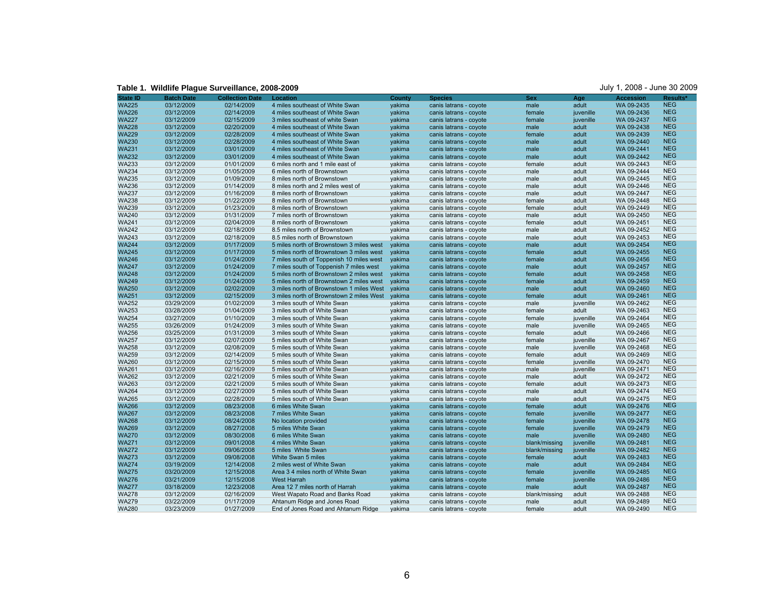| <b>State ID</b> | <b>Batch Date</b> | <b>Collection Date</b> | Location                                 | <b>County</b> | <b>Species</b>         | <b>Sex</b>    | Age       | <b>Accession</b> | Results*   |
|-----------------|-------------------|------------------------|------------------------------------------|---------------|------------------------|---------------|-----------|------------------|------------|
| <b>WA225</b>    | 03/12/2009        | 02/14/2009             | 4 miles southeast of White Swan          | yakima        | canis latrans - coyote | male          | adult     | WA 09-2435       | <b>NEG</b> |
| <b>WA226</b>    | 03/12/2009        | 02/14/2009             | 4 miles southeast of White Swan          | yakima        | canis latrans - coyote | female        | juvenille | WA 09-2436       | <b>NEG</b> |
| <b>WA227</b>    | 03/12/2009        | 02/15/2009             | 3 miles southeast of white Swan          | yakima        | canis latrans - coyote | female        | juvenille | WA 09-2437       | <b>NEG</b> |
| <b>WA228</b>    | 03/12/2009        | 02/20/2009             | 4 miles southeast of White Swan          | yakima        | canis latrans - coyote | male          | adult     | WA 09-2438       | <b>NEG</b> |
| <b>WA229</b>    | 03/12/2009        | 02/28/2009             | 4 miles southeast of White Swan          | yakima        | canis latrans - coyote | female        | adult     | WA 09-2439       | <b>NEG</b> |
| <b>WA230</b>    | 03/12/2009        | 02/28/2009             | 4 miles southeast of White Swan          | vakima        | canis latrans - coyote | male          | adult     | WA 09-2440       | <b>NEG</b> |
| <b>WA231</b>    | 03/12/2009        | 03/01/2009             | 4 miles southeast of White Swan          | yakima        | canis latrans - coyote | male          | adult     | WA 09-2441       | <b>NEG</b> |
| <b>WA232</b>    | 03/12/2009        | 03/01/2009             | 4 miles southeast of White Swan          | yakima        | canis latrans - coyote | male          | adult     | WA 09-2442       | <b>NEG</b> |
| <b>WA233</b>    | 03/12/2009        | 01/01/2009             | 6 miles north and 1 mile east of         | yakima        | canis latrans - coyote | female        | adult     | WA 09-2443       | <b>NEG</b> |
| <b>WA234</b>    | 03/12/2009        | 01/05/2009             | 6 miles north of Brownstown              | yakima        | canis latrans - coyote | male          | adult     | WA 09-2444       | <b>NEG</b> |
| <b>WA235</b>    | 03/12/2009        | 01/09/2009             | 8 miles north of Brownstown              | yakima        | canis latrans - coyote | male          | adult     | WA 09-2445       | <b>NEG</b> |
| <b>WA236</b>    | 03/12/2009        | 01/14/2009             | 8 miles north and 2 miles west of        | yakima        | canis latrans - coyote | male          | adult     | WA 09-2446       | <b>NEG</b> |
| <b>WA237</b>    | 03/12/2009        | 01/16/2009             | 8 miles north of Brownstown              | yakima        | canis latrans - coyote | male          | adult     | WA 09-2447       | <b>NEG</b> |
| <b>WA238</b>    | 03/12/2009        | 01/22/2009             | 8 miles north of Brownstown              | yakima        | canis latrans - coyote | female        | adult     | WA 09-2448       | <b>NEG</b> |
| <b>WA239</b>    | 03/12/2009        | 01/23/2009             | 8 miles north of Brownstown              | yakima        | canis latrans - coyote | female        | adult     | WA 09-2449       | <b>NEG</b> |
| <b>WA240</b>    | 03/12/2009        | 01/31/2009             | 7 miles north of Brownstown              | yakima        | canis latrans - coyote | male          | adult     | WA 09-2450       | <b>NEG</b> |
| <b>WA241</b>    | 03/12/2009        | 02/04/2009             | 8 miles north of Brownstown              | yakima        | canis latrans - coyote | female        | adult     | WA 09-2451       | <b>NEG</b> |
| <b>WA242</b>    | 03/12/2009        | 02/18/2009             | 8.5 miles north of Brownstown            | yakima        | canis latrans - coyote | male          | adult     | WA 09-2452       | <b>NEG</b> |
| <b>WA243</b>    | 03/12/2009        | 02/18/2009             | 8.5 miles north of Brownstown            | yakima        | canis latrans - coyote | male          | adult     | WA 09-2453       | <b>NEG</b> |
| <b>WA244</b>    | 03/12/2009        | 01/17/2009             | 5 miles north of Brownstown 3 miles west | vakima        | canis latrans - coyote | male          | adult     | WA 09-2454       | <b>NEG</b> |
| <b>WA245</b>    | 03/12/2009        | 01/17/2009             | 5 miles north of Brownstown 3 miles west | yakima        | canis latrans - coyote | female        | adult     | WA 09-2455       | <b>NEG</b> |
| <b>WA246</b>    | 03/12/2009        | 01/24/2009             | 7 miles south of Toppenish 10 miles west | yakima        | canis latrans - coyote | female        | adult     | WA 09-2456       | <b>NEG</b> |
| <b>WA247</b>    | 03/12/2009        | 01/24/2009             | 7 miles south of Toppenish 7 miles west  | yakima        | canis latrans - coyote | male          | adult     | WA 09-2457       | <b>NEG</b> |
| <b>WA248</b>    | 03/12/2009        | 01/24/2009             | 5 miles north of Brownstown 2 miles west | yakima        | canis latrans - coyote | female        | adult     | WA 09-2458       | <b>NEG</b> |
| <b>WA249</b>    | 03/12/2009        | 01/24/2009             | 5 miles north of Brownstown 2 miles west | yakima        | canis latrans - coyote | female        | adult     | WA 09-2459       | <b>NEG</b> |
| <b>WA250</b>    | 03/12/2009        | 02/02/2009             | 3 miles north of Brownstown 1 miles West | vakima        | canis latrans - coyote | male          | adult     | WA 09-2460       | <b>NEG</b> |
| <b>WA251</b>    | 03/12/2009        | 02/15/2009             | 3 miles north of Brownstown 2 miles West | yakima        | canis latrans - coyote | female        | adult     | WA 09-2461       | <b>NEG</b> |
| <b>WA252</b>    | 03/29/2009        | 01/02/2009             | 3 miles south of White Swan              | yakima        | canis latrans - coyote | male          | juvenille | WA 09-2462       | <b>NEG</b> |
| <b>WA253</b>    | 03/28/2009        | 01/04/2009             | 3 miles south of White Swan              | yakima        | canis latrans - coyote | female        | adult     | WA 09-2463       | <b>NEG</b> |
| <b>WA254</b>    | 03/27/2009        | 01/10/2009             | 3 miles south of White Swan              | yakima        | canis latrans - coyote | female        | juvenille | WA 09-2464       | <b>NEG</b> |
| <b>WA255</b>    | 03/26/2009        | 01/24/2009             | 3 miles south of White Swan              | yakima        | canis latrans - coyote | male          | juvenille | WA 09-2465       | <b>NEG</b> |
| <b>WA256</b>    | 03/25/2009        | 01/31/2009             | 3 miles south of White Swan              | yakima        | canis latrans - coyote | female        | adult     | WA 09-2466       | <b>NEG</b> |
| <b>WA257</b>    | 03/12/2009        | 02/07/2009             | 5 miles south of White Swan              | yakima        | canis latrans - coyote | female        | juvenille | WA 09-2467       | <b>NEG</b> |
| <b>WA258</b>    | 03/12/2009        | 02/08/2009             | 5 miles south of White Swan              | yakima        | canis latrans - coyote | male          | juvenille | WA 09-2468       | <b>NEG</b> |
| <b>WA259</b>    | 03/12/2009        | 02/14/2009             | 5 miles south of White Swan              | yakima        | canis latrans - coyote | female        | adult     | WA 09-2469       | <b>NEG</b> |
| <b>WA260</b>    | 03/12/2009        | 02/15/2009             | 5 miles south of White Swan              | yakima        | canis latrans - coyote | female        | juvenille | WA 09-2470       | <b>NEG</b> |
| <b>WA261</b>    | 03/12/2009        | 02/16/2009             | 5 miles south of White Swan              | yakima        | canis latrans - coyote | male          | juvenille | WA 09-2471       | <b>NEG</b> |
| <b>WA262</b>    | 03/12/2009        | 02/21/2009             | 5 miles south of White Swan              | yakima        | canis latrans - coyote | male          | adult     | WA 09-2472       | <b>NEG</b> |
| <b>WA263</b>    | 03/12/2009        | 02/21/2009             | 5 miles south of White Swan              | yakima        | canis latrans - coyote | female        | adult     | WA 09-2473       | <b>NEG</b> |
| <b>WA264</b>    | 03/12/2009        | 02/27/2009             | 5 miles south of White Swan              | yakima        | canis latrans - coyote | male          | adult     | WA 09-2474       | <b>NEG</b> |
| <b>WA265</b>    | 03/12/2009        | 02/28/2009             | 5 miles south of White Swan              | yakima        | canis latrans - coyote | male          | adult     | WA 09-2475       | <b>NEG</b> |
| <b>WA266</b>    | 03/12/2009        | 08/23/2008             | 6 miles White Swan                       | yakima        | canis latrans - coyote | female        | adult     | WA 09-2476       | <b>NEG</b> |
| <b>WA267</b>    | 03/12/2009        | 08/23/2008             | 7 miles White Swan                       | yakima        | canis latrans - coyote | female        | juvenille | WA 09-2477       | <b>NEG</b> |
| <b>WA268</b>    | 03/12/2009        | 08/24/2008             | No location provided                     | yakima        | canis latrans - coyote | female        | juvenille | WA 09-2478       | <b>NEG</b> |
| <b>WA269</b>    | 03/12/2009        | 08/27/2008             | 5 miles White Swan                       | yakima        | canis latrans - coyote | female        | juvenille | WA 09-2479       | <b>NEG</b> |
| <b>WA270</b>    | 03/12/2009        | 08/30/2008             | 6 miles White Swan                       | yakima        | canis latrans - coyote | male          | juvenille | WA 09-2480       | <b>NEG</b> |
| <b>WA271</b>    | 03/12/2009        | 09/01/2008             | 4 miles White Swan                       | yakima        | canis latrans - coyote | blank/missing | juvenille | WA 09-2481       | <b>NEG</b> |
| <b>WA272</b>    | 03/12/2009        | 09/06/2008             | 5 miles White Swan                       | yakima        | canis latrans - coyote | blank/missing | juvenille | WA 09-2482       | <b>NEG</b> |
| <b>WA273</b>    | 03/12/2009        | 09/08/2008             | White Swan 5 miles                       | yakima        | canis latrans - coyote | female        | adult     | WA 09-2483       | <b>NEG</b> |
| <b>WA274</b>    | 03/19/2009        | 12/14/2008             | 2 miles west of White Swan               | yakima        | canis latrans - coyote | male          | adult     | WA 09-2484       | <b>NEG</b> |
| <b>WA275</b>    | 03/20/2009        | 12/15/2008             | Area 3 4 miles north of White Swan       | yakima        | canis latrans - coyote | female        | juvenille | WA 09-2485       | <b>NEG</b> |
| <b>WA276</b>    | 03/21/2009        | 12/15/2008             | <b>West Harrah</b>                       | yakima        | canis latrans - coyote | female        | juvenille | WA 09-2486       | <b>NEG</b> |
| <b>WA277</b>    | 03/18/2009        | 12/23/2008             | Area 12 7 miles north of Harrah          | yakima        | canis latrans - coyote | male          | adult     | WA 09-2487       | <b>NEG</b> |
| <b>WA278</b>    | 03/12/2009        | 02/16/2009             | West Wapato Road and Banks Road          | yakima        | canis latrans - coyote | blank/missing | adult     | WA 09-2488       | <b>NEG</b> |
| <b>WA279</b>    | 03/22/2009        | 01/17/2009             | Ahtanum Ridge and Jones Road             | yakima        | canis latrans - coyote | male          | adult     | WA 09-2489       | <b>NEG</b> |
| <b>WA280</b>    | 03/23/2009        | 01/27/2009             | End of Jones Road and Ahtanum Ridge      | yakima        | canis latrans - coyote | female        | adult     | WA 09-2490       | <b>NEG</b> |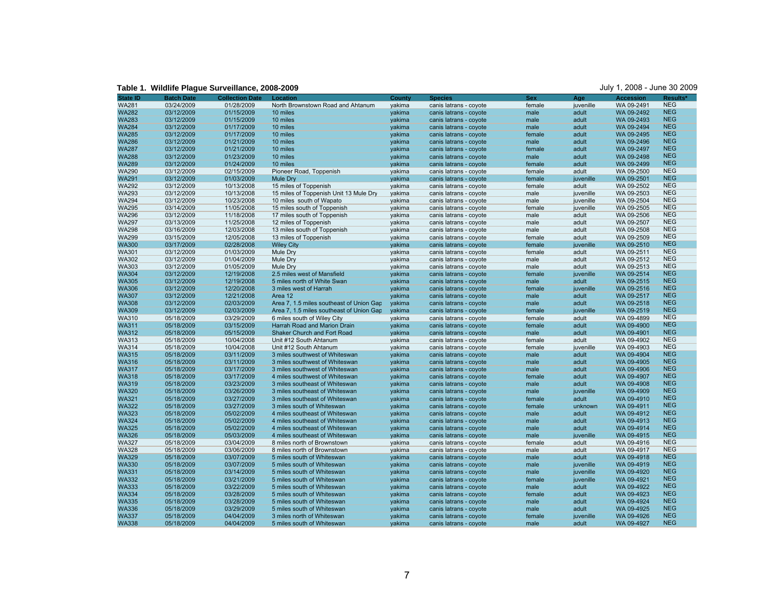**Table 1. Wildlife Plague Surveillance, 2008-2009** July 1, 2008 - June 30 2009

| <b>State ID</b>              | <b>Batch Date</b>        | <b>Collection Date</b>   | Location                                 | County | <b>Species</b>         | <b>Sex</b> | Age                | <b>Accession</b> | Results*                 |
|------------------------------|--------------------------|--------------------------|------------------------------------------|--------|------------------------|------------|--------------------|------------------|--------------------------|
| <b>WA281</b>                 | 03/24/2009               | 01/28/2009               | North Brownstown Road and Ahtanum        | yakima | canis latrans - coyote | female     | juvenille          | WA 09-2491       | <b>NEG</b>               |
| <b>WA282</b>                 | 03/12/2009               | 01/15/2009               | 10 miles                                 | yakima | canis latrans - coyote | male       | adult              | WA 09-2492       | <b>NEG</b>               |
| <b>WA283</b>                 | 03/12/2009               | 01/15/2009               | 10 miles                                 | yakima | canis latrans - coyote | male       | adult              | WA 09-2493       | <b>NEG</b>               |
| <b>WA284</b>                 | 03/12/2009               | 01/17/2009               | 10 miles                                 | yakima | canis latrans - coyote | male       | adult              | WA 09-2494       | <b>NEG</b>               |
| <b>WA285</b>                 | 03/12/2009               | 01/17/2009               | 10 miles                                 | yakima | canis latrans - coyote | female     | adult              | WA 09-2495       | <b>NEG</b>               |
| <b>WA286</b>                 | 03/12/2009               | 01/21/2009               | 10 miles                                 | yakima | canis latrans - coyote | male       | adult              | WA 09-2496       | <b>NEG</b>               |
| <b>WA287</b>                 | 03/12/2009               | 01/21/2009               | 10 miles                                 | vakima | canis latrans - coyote | female     | adult              | WA 09-2497       | <b>NEG</b>               |
| <b>WA288</b>                 | 03/12/2009               | 01/23/2009               | 10 miles                                 | yakima | canis latrans - coyote | male       | adult              | WA 09-2498       | <b>NEG</b>               |
| <b>WA289</b>                 | 03/12/2009               | 01/24/2009               | 10 miles                                 | yakima | canis latrans - coyote | female     | adult              | WA 09-2499       | <b>NEG</b>               |
| <b>WA290</b>                 | 03/12/2009               | 02/15/2009               | Pioneer Road, Toppenish                  | yakima |                        | female     | adult              | WA 09-2500       | <b>NEG</b>               |
| <b>WA291</b>                 | 03/12/2009               | 01/03/2009               | Mule Dry                                 |        | canis latrans - coyote |            |                    | WA 09-2501       | <b>NEG</b>               |
| <b>WA292</b>                 | 03/12/2009               |                          | 15 miles of Toppenish                    | yakima | canis latrans - coyote | female     | juvenille<br>adult | WA 09-2502       | <b>NEG</b>               |
|                              |                          | 10/13/2008               |                                          | yakima | canis latrans - coyote | female     |                    |                  | <b>NEG</b>               |
| <b>WA293</b><br><b>WA294</b> | 03/12/2009               | 10/13/2008               | 15 miles of Toppenish Unit 13 Mule Dry   | yakima | canis latrans - coyote | male       | juvenille          | WA 09-2503       | <b>NEG</b>               |
| <b>WA295</b>                 | 03/12/2009<br>03/14/2009 | 10/23/2008<br>11/05/2008 | 10 miles south of Wapato                 | yakima | canis latrans - coyote | male       | juvenille          | WA 09-2504       | <b>NEG</b>               |
|                              |                          |                          | 15 miles south of Toppenish              | yakima | canis latrans - coyote | female     | juvenille          | WA 09-2505       | <b>NEG</b>               |
| <b>WA296</b>                 | 03/12/2009               | 11/18/2008               | 17 miles south of Toppenish              | yakima | canis latrans - coyote | male       | adult              | WA 09-2506       | <b>NEG</b>               |
| <b>WA297</b>                 | 03/13/2009               | 11/25/2008               | 12 miles of Toppenish                    | yakima | canis latrans - coyote | male       | adult              | WA 09-2507       | <b>NEG</b>               |
| <b>WA298</b>                 | 03/16/2009               | 12/03/2008               | 13 miles south of Toppenish              | yakima | canis latrans - coyote | male       | adult              | WA 09-2508       |                          |
| <b>WA299</b>                 | 03/15/2009               | 12/05/2008               | 13 miles of Toppenish                    | yakima | canis latrans - coyote | female     | adult              | WA 09-2509       | <b>NEG</b>               |
| <b>WA300</b>                 | 03/17/2009               | 02/28/2008               | <b>Wiley City</b>                        | vakima | canis latrans - coyote | female     | juvenille          | WA 09-2510       | <b>NEG</b>               |
| <b>WA301</b>                 | 03/12/2009               | 01/03/2009               | Mule Dry                                 | yakima | canis latrans - coyote | female     | adult              | WA 09-2511       | <b>NEG</b>               |
| <b>WA302</b>                 | 03/12/2009               | 01/04/2009               | Mule Dry                                 | vakima | canis latrans - coyote | male       | adult              | WA 09-2512       | <b>NEG</b>               |
| <b>WA303</b>                 | 03/12/2009               | 01/05/2009               | Mule Dry                                 | yakima | canis latrans - coyote | male       | adult              | WA 09-2513       | <b>NEG</b>               |
| <b>WA304</b>                 | 03/12/2009               | 12/19/2008               | 2.5 miles west of Mansfield              | yakima | canis latrans - coyote | female     | juvenille          | WA 09-2514       | <b>NEG</b>               |
| <b>WA305</b>                 | 03/12/2009               | 12/19/2008               | 5 miles north of White Swan              | yakima | canis latrans - coyote | male       | adult              | WA 09-2515       | <b>NEG</b>               |
| <b>WA306</b>                 | 03/12/2009               | 12/20/2008               | 3 miles west of Harrah                   | yakima | canis latrans - coyote | female     | juvenille          | WA 09-2516       | <b>NEG</b>               |
| <b>WA307</b>                 | 03/12/2009               | 12/21/2008               | Area 12                                  | yakima | canis latrans - coyote | male       | adult              | WA 09-2517       | <b>NEG</b>               |
| <b>WA308</b>                 | 03/12/2009               | 02/03/2009               | Area 7, 1.5 miles southeast of Union Gap | vakima | canis latrans - coyote | male       | adult              | WA 09-2518       | <b>NEG</b>               |
| <b>WA309</b>                 | 03/12/2009               | 02/03/2009               | Area 7, 1.5 miles southeast of Union Gap | yakima | canis latrans - coyote | female     | juvenille          | WA 09-2519       | <b>NEG</b>               |
| <b>WA310</b>                 | 05/18/2009               | 03/29/2009               | 6 miles south of Wiley City              | yakima | canis latrans - coyote | female     | adult              | WA 09-4899       | <b>NEG</b>               |
| <b>WA311</b>                 | 05/18/2009               | 03/15/2009               | Harrah Road and Marion Drain             | yakima | canis latrans - coyote | female     | adult              | WA 09-4900       | <b>NEG</b>               |
| <b>WA312</b>                 | 05/18/2009               | 05/15/2009               | Shaker Church and Fort Road              | yakima | canis latrans - coyote | male       | adult              | WA 09-4901       | <b>NEG</b>               |
| <b>WA313</b>                 | 05/18/2009               | 10/04/2008               | Unit #12 South Ahtanum                   | yakima | canis latrans - coyote | female     | adult              | WA 09-4902       | <b>NEG</b>               |
| <b>WA314</b>                 | 05/18/2009               | 10/04/2008               | Unit #12 South Ahtanum                   | yakima | canis latrans - coyote | female     | juvenille          | WA 09-4903       | <b>NEG</b>               |
| <b>WA315</b>                 | 05/18/2009               | 03/11/2009               | 3 miles southwest of Whiteswan           | yakima | canis latrans - coyote | male       | adult              | WA 09-4904       | <b>NEG</b>               |
| <b>WA316</b>                 | 05/18/2009               | 03/11/2009               | 3 miles southwest of Whiteswan           | yakima | canis latrans - coyote | male       | adult              | WA 09-4905       | <b>NEG</b><br><b>NEG</b> |
| <b>WA317</b>                 | 05/18/2009               | 03/17/2009               | 3 miles southwest of Whiteswan           | vakima | canis latrans - coyote | male       | adult              | WA 09-4906       |                          |
| <b>WA318</b>                 | 05/18/2009               | 03/17/2009               | 4 miles southwest of Whiteswan           | yakima | canis latrans - coyote | female     | adult              | WA 09-4907       | <b>NEG</b>               |
| <b>WA319</b>                 | 05/18/2009               | 03/23/2009               | 3 miles southeast of Whiteswan           | yakima | canis latrans - coyote | male       | adult              | WA 09-4908       | <b>NEG</b>               |
| <b>WA320</b>                 | 05/18/2009               | 03/26/2009               | 3 miles southeast of Whiteswan           | yakima | canis latrans - coyote | male       | juvenille          | WA 09-4909       | <b>NEG</b>               |
| <b>WA321</b>                 | 05/18/2009               | 03/27/2009               | 3 miles southeast of Whiteswan           | yakima | canis latrans - coyote | female     | adult              | WA 09-4910       | <b>NEG</b><br><b>NEG</b> |
| <b>WA322</b>                 | 05/18/2009               | 03/27/2009               | 3 miles south of Whiteswan               | yakima | canis latrans - coyote | female     | unknown            | WA 09-4911       |                          |
| <b>WA323</b>                 | 05/18/2009               | 05/02/2009               | 4 miles southeast of Whiteswan           | yakima | canis latrans - coyote | male       | adult              | WA 09-4912       | <b>NEG</b>               |
| <b>WA324</b>                 | 05/18/2009               | 05/02/2009               | 4 miles southeast of Whiteswan           | yakima | canis latrans - coyote | male       | adult              | WA 09-4913       | <b>NEG</b>               |
| <b>WA325</b>                 | 05/18/2009               | 05/02/2009               | 4 miles southeast of Whiteswan           | yakima | canis latrans - coyote | male       | adult              | WA 09-4914       | <b>NEG</b>               |
| <b>WA326</b>                 | 05/18/2009               | 05/03/2009               | 4 miles southeast of Whiteswan           | yakima | canis latrans - coyote | male       | juvenille          | WA 09-4915       | <b>NEG</b>               |
| <b>WA327</b>                 | 05/18/2009               | 03/04/2009               | 8 miles north of Brownstown              | yakima | canis latrans - coyote | female     | adult              | WA 09-4916       | <b>NEG</b>               |
| <b>WA328</b>                 | 05/18/2009               | 03/06/2009               | 8 miles north of Brownstown              | yakima | canis latrans - coyote | male       | adult              | WA 09-4917       | <b>NEG</b>               |
| <b>WA329</b>                 | 05/18/2009               | 03/07/2009               | 5 miles south of Whiteswan               | vakima | canis latrans - coyote | male       | adult              | WA 09-4918       | <b>NEG</b>               |
| <b>WA330</b>                 | 05/18/2009               | 03/07/2009               | 5 miles south of Whiteswan               | yakima | canis latrans - coyote | male       | juvenille          | WA 09-4919       | <b>NEG</b>               |
| <b>WA331</b>                 | 05/18/2009               | 03/14/2009               | 5 miles south of Whiteswan               | yakima | canis latrans - coyote | male       | juvenille          | WA 09-4920       | <b>NEG</b>               |
| <b>WA332</b>                 | 05/18/2009               | 03/21/2009               | 5 miles south of Whiteswan               | yakima | canis latrans - coyote | female     | juvenille          | WA 09-4921       | <b>NEG</b>               |
| <b>WA333</b>                 | 05/18/2009               | 03/22/2009               | 5 miles south of Whiteswan               | yakima | canis latrans - coyote | male       | adult              | WA 09-4922       | <b>NEG</b>               |
| <b>WA334</b>                 | 05/18/2009               | 03/28/2009               | 5 miles south of Whiteswan               | yakima | canis latrans - coyote | female     | adult              | WA 09-4923       | <b>NEG</b>               |
| <b>WA335</b>                 | 05/18/2009               | 03/28/2009               | 5 miles south of Whiteswan               | yakima | canis latrans - coyote | male       | adult              | WA 09-4924       | <b>NEG</b>               |
| <b>WA336</b>                 | 05/18/2009               | 03/29/2009               | 5 miles south of Whiteswan               | yakima | canis latrans - coyote | male       | adult              | WA 09-4925       | <b>NEG</b>               |
| <b>WA337</b>                 | 05/18/2009               | 04/04/2009               | 3 miles north of Whiteswan               | yakima | canis latrans - coyote | female     | juvenille          | WA 09-4926       | <b>NEG</b>               |
| <b>WA338</b>                 | 05/18/2009               | 04/04/2009               | 5 miles south of Whiteswan               | yakima | canis latrans - coyote | male       | adult              | WA 09-4927       | <b>NEG</b>               |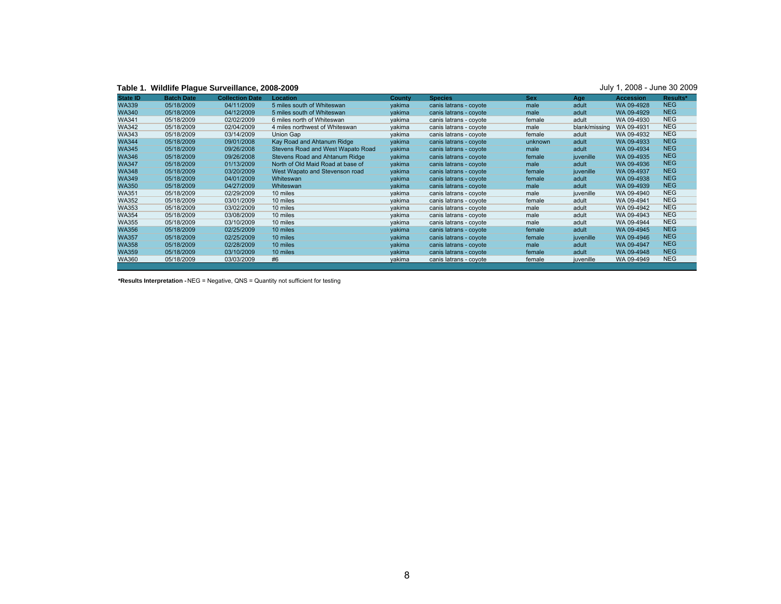| State ID     | <b>Batch Date</b> | <b>Collection Date</b> | Location                          | County | <b>Species</b>         | <b>Sex</b> | Age           | <b>Accession</b> | Results*   |
|--------------|-------------------|------------------------|-----------------------------------|--------|------------------------|------------|---------------|------------------|------------|
| <b>WA339</b> | 05/18/2009        | 04/11/2009             | 5 miles south of Whiteswan        | vakima | canis latrans - covote | male       | adult         | WA 09-4928       | <b>NEG</b> |
| <b>WA340</b> | 05/18/2009        | 04/12/2009             | 5 miles south of Whiteswan        | vakima | canis latrans - coyote | male       | adult         | WA 09-4929       | <b>NEG</b> |
| <b>WA341</b> | 05/18/2009        | 02/02/2009             | 6 miles north of Whiteswan        | vakima | canis latrans - coyote | female     | adult         | WA 09-4930       | <b>NEG</b> |
| <b>WA342</b> | 05/18/2009        | 02/04/2009             | 4 miles northwest of Whiteswan    | vakima | canis latrans - coyote | male       | blank/missing | WA 09-4931       | <b>NEG</b> |
| <b>WA343</b> | 05/18/2009        | 03/14/2009             | Union Gap                         | vakima | canis latrans - coyote | female     | adult         | WA 09-4932       | <b>NEG</b> |
| <b>WA344</b> | 05/18/2009        | 09/01/2008             | Kay Road and Ahtanum Ridge        | vakima | canis latrans - covote | unknown    | adult         | WA 09-4933       | <b>NEG</b> |
| <b>WA345</b> | 05/18/2009        | 09/26/2008             | Stevens Road and West Wapato Road | vakima | canis latrans - covote | male       | adult         | WA 09-4934       | <b>NEG</b> |
| <b>WA346</b> | 05/18/2009        | 09/26/2008             | Stevens Road and Ahtanum Ridge    | vakima | canis latrans - coyote | female     | juvenille     | WA 09-4935       | <b>NEG</b> |
| <b>WA347</b> | 05/18/2009        | 01/13/2009             | North of Old Maid Road at base of | vakima | canis latrans - coyote | male       | adult         | WA 09-4936       | <b>NEG</b> |
| <b>WA348</b> | 05/18/2009        | 03/20/2009             | West Wapato and Stevenson road    | vakima | canis latrans - coyote | female     | juvenille     | WA 09-4937       | <b>NEG</b> |
| <b>WA349</b> | 05/18/2009        | 04/01/2009             | Whiteswan                         | vakima | canis latrans - coyote | female     | adult         | WA 09-4938       | <b>NEG</b> |
| <b>WA350</b> | 05/18/2009        | 04/27/2009             | Whiteswan                         | vakima | canis latrans - covote | male       | adult         | WA 09-4939       | <b>NEG</b> |
| <b>WA351</b> | 05/18/2009        | 02/29/2009             | 10 miles                          | yakima | canis latrans - coyote | male       | juvenille     | WA 09-4940       | <b>NEG</b> |
| <b>WA352</b> | 05/18/2009        | 03/01/2009             | 10 miles                          | vakima | canis latrans - coyote | female     | adult         | WA 09-4941       | <b>NEG</b> |
| <b>WA353</b> | 05/18/2009        | 03/02/2009             | 10 miles                          | yakima | canis latrans - coyote | male       | adult         | WA 09-4942       | <b>NEG</b> |
| <b>WA354</b> | 05/18/2009        | 03/08/2009             | 10 miles                          | vakima | canis latrans - coyote | male       | adult         | WA 09-4943       | <b>NEG</b> |
| <b>WA355</b> | 05/18/2009        | 03/10/2009             | 10 miles                          | yakima | canis latrans - coyote | male       | adult         | WA 09-4944       | <b>NEG</b> |
| <b>WA356</b> | 05/18/2009        | 02/25/2009             | 10 miles                          | vakima | canis latrans - coyote | female     | adult         | WA 09-4945       | <b>NEG</b> |
| <b>WA357</b> | 05/18/2009        | 02/25/2009             | 10 miles                          | vakima | canis latrans - covote | female     | juvenille     | WA 09-4946       | <b>NEG</b> |
| <b>WA358</b> | 05/18/2009        | 02/28/2009             | 10 miles                          | vakima | canis latrans - coyote | male       | adult         | WA 09-4947       | <b>NEG</b> |
| <b>WA359</b> | 05/18/2009        | 03/10/2009             | 10 miles                          | vakima | canis latrans - coyote | female     | adult         | WA 09-4948       | <b>NEG</b> |
| <b>WA360</b> | 05/18/2009        | 03/03/2009             | #6                                | vakima | canis latrans - coyote | female     | juvenille     | WA 09-4949       | <b>NEG</b> |

**\*Results Interpretation -** NEG = Negative, QNS = Quantity not sufficient for testing